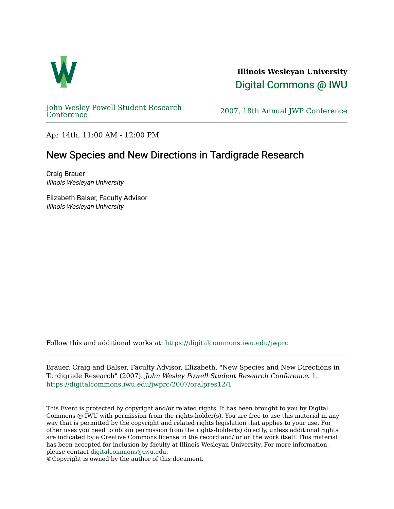

**Illinois Wesleyan University**  [Digital Commons @ IWU](https://digitalcommons.iwu.edu/) 

[John Wesley Powell Student Research](https://digitalcommons.iwu.edu/jwprc) 

2007, 18th Annual JWP [Conference](https://digitalcommons.iwu.edu/jwprc)

Apr 14th, 11:00 AM - 12:00 PM

## New Species and New Directions in Tardigrade Research

Craig Brauer Illinois Wesleyan University

Elizabeth Balser, Faculty Advisor Illinois Wesleyan University

Follow this and additional works at: [https://digitalcommons.iwu.edu/jwprc](https://digitalcommons.iwu.edu/jwprc?utm_source=digitalcommons.iwu.edu%2Fjwprc%2F2007%2Foralpres12%2F1&utm_medium=PDF&utm_campaign=PDFCoverPages) 

Brauer, Craig and Balser, Faculty Advisor, Elizabeth, "New Species and New Directions in Tardigrade Research" (2007). John Wesley Powell Student Research Conference. 1. [https://digitalcommons.iwu.edu/jwprc/2007/oralpres12/1](https://digitalcommons.iwu.edu/jwprc/2007/oralpres12/1?utm_source=digitalcommons.iwu.edu%2Fjwprc%2F2007%2Foralpres12%2F1&utm_medium=PDF&utm_campaign=PDFCoverPages) 

This Event is protected by copyright and/or related rights. It has been brought to you by Digital Commons @ IWU with permission from the rights-holder(s). You are free to use this material in any way that is permitted by the copyright and related rights legislation that applies to your use. For other uses you need to obtain permission from the rights-holder(s) directly, unless additional rights are indicated by a Creative Commons license in the record and/ or on the work itself. This material has been accepted for inclusion by faculty at Illinois Wesleyan University. For more information, please contact [digitalcommons@iwu.edu.](mailto:digitalcommons@iwu.edu)

©Copyright is owned by the author of this document.